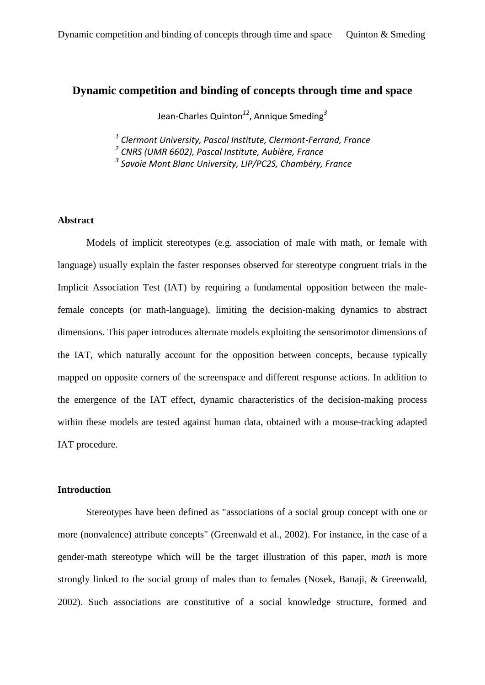# **Dynamic competition and binding of concepts through time and space**

Jean-Charles Quinton*<sup>12</sup>*, Annique Smeding*<sup>3</sup>*

*1 Clermont University, Pascal Institute, Clermont-Ferrand, France*

*2 CNRS (UMR 6602), Pascal Institute, Aubière, France*

*3 Savoie Mont Blanc University, LIP/PC2S, Chambéry, France*

# **Abstract**

Models of implicit stereotypes (e.g. association of male with math, or female with language) usually explain the faster responses observed for stereotype congruent trials in the Implicit Association Test (IAT) by requiring a fundamental opposition between the malefemale concepts (or math-language), limiting the decision-making dynamics to abstract dimensions. This paper introduces alternate models exploiting the sensorimotor dimensions of the IAT, which naturally account for the opposition between concepts, because typically mapped on opposite corners of the screenspace and different response actions. In addition to the emergence of the IAT effect, dynamic characteristics of the decision-making process within these models are tested against human data, obtained with a mouse-tracking adapted IAT procedure.

# **Introduction**

Stereotypes have been defined as "associations of a social group concept with one or more (nonvalence) attribute concepts" (Greenwald et al., 2002). For instance, in the case of a gender-math stereotype which will be the target illustration of this paper, *math* is more strongly linked to the social group of males than to females (Nosek, Banaji, & Greenwald, 2002). Such associations are constitutive of a social knowledge structure, formed and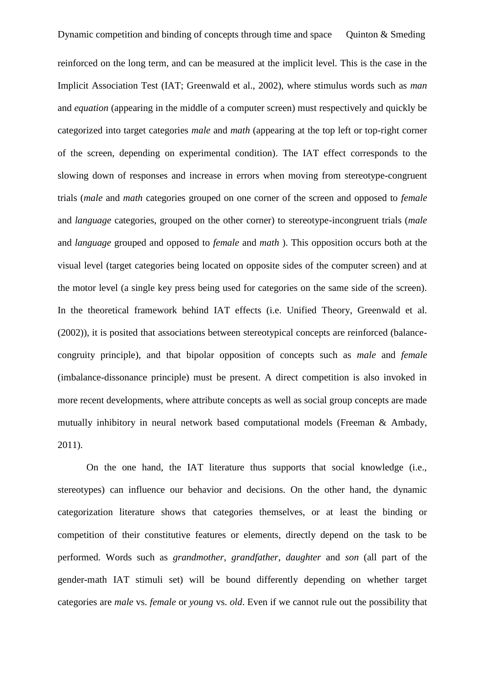reinforced on the long term, and can be measured at the implicit level. This is the case in the Implicit Association Test (IAT; Greenwald et al., 2002), where stimulus words such as *man* and *equation* (appearing in the middle of a computer screen) must respectively and quickly be categorized into target categories *male* and *math* (appearing at the top left or top-right corner of the screen, depending on experimental condition). The IAT effect corresponds to the slowing down of responses and increase in errors when moving from stereotype-congruent trials (*male* and *math* categories grouped on one corner of the screen and opposed to *female* and *language* categories, grouped on the other corner) to stereotype-incongruent trials (*male* and *language* grouped and opposed to *female* and *math* ). This opposition occurs both at the visual level (target categories being located on opposite sides of the computer screen) and at the motor level (a single key press being used for categories on the same side of the screen). In the theoretical framework behind IAT effects (i.e. Unified Theory, Greenwald et al. (2002)), it is posited that associations between stereotypical concepts are reinforced (balancecongruity principle), and that bipolar opposition of concepts such as *male* and *female* (imbalance-dissonance principle) must be present. A direct competition is also invoked in more recent developments, where attribute concepts as well as social group concepts are made mutually inhibitory in neural network based computational models (Freeman & Ambady, 2011).

On the one hand, the IAT literature thus supports that social knowledge (i.e., stereotypes) can influence our behavior and decisions. On the other hand, the dynamic categorization literature shows that categories themselves, or at least the binding or competition of their constitutive features or elements, directly depend on the task to be performed. Words such as *grandmother*, *grandfather*, *daughter* and *son* (all part of the gender-math IAT stimuli set) will be bound differently depending on whether target categories are *male* vs. *female* or *young* vs. *old*. Even if we cannot rule out the possibility that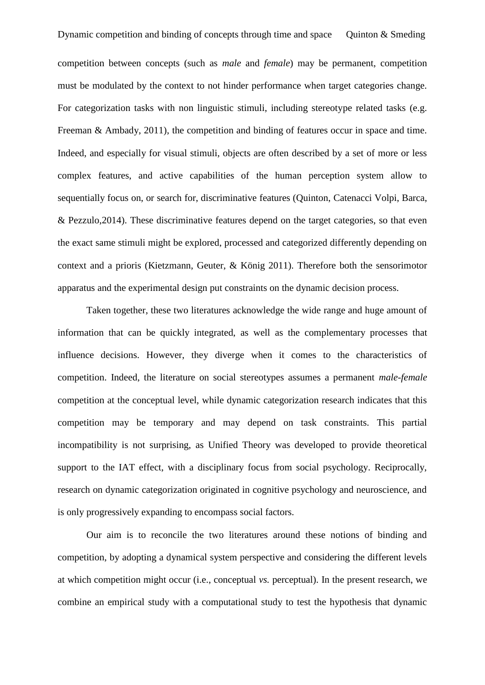competition between concepts (such as *male* and *female*) may be permanent, competition must be modulated by the context to not hinder performance when target categories change. For categorization tasks with non linguistic stimuli, including stereotype related tasks (e.g. Freeman & Ambady, 2011), the competition and binding of features occur in space and time. Indeed, and especially for visual stimuli, objects are often described by a set of more or less complex features, and active capabilities of the human perception system allow to sequentially focus on, or search for, discriminative features (Quinton, Catenacci Volpi, Barca, & Pezzulo,2014). These discriminative features depend on the target categories, so that even the exact same stimuli might be explored, processed and categorized differently depending on context and a prioris (Kietzmann, Geuter, & König 2011). Therefore both the sensorimotor apparatus and the experimental design put constraints on the dynamic decision process.

Taken together, these two literatures acknowledge the wide range and huge amount of information that can be quickly integrated, as well as the complementary processes that influence decisions. However, they diverge when it comes to the characteristics of competition. Indeed, the literature on social stereotypes assumes a permanent *male-female* competition at the conceptual level, while dynamic categorization research indicates that this competition may be temporary and may depend on task constraints. This partial incompatibility is not surprising, as Unified Theory was developed to provide theoretical support to the IAT effect, with a disciplinary focus from social psychology. Reciprocally, research on dynamic categorization originated in cognitive psychology and neuroscience, and is only progressively expanding to encompass social factors.

Our aim is to reconcile the two literatures around these notions of binding and competition, by adopting a dynamical system perspective and considering the different levels at which competition might occur (i.e., conceptual *vs.* perceptual). In the present research, we combine an empirical study with a computational study to test the hypothesis that dynamic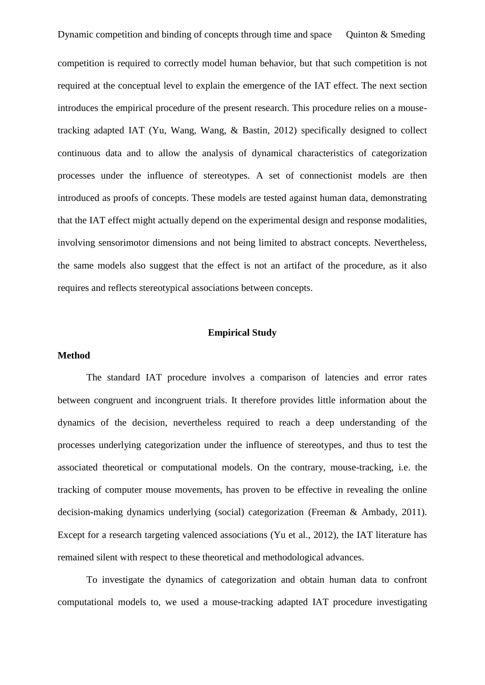competition is required to correctly model human behavior, but that such competition is not required at the conceptual level to explain the emergence of the IAT effect. The next section introduces the empirical procedure of the present research. This procedure relies on a mousetracking adapted IAT (Yu, Wang, Wang, & Bastin, 2012) specifically designed to collect continuous data and to allow the analysis of dynamical characteristics of categorization processes under the influence of stereotypes. A set of connectionist models are then introduced as proofs of concepts. These models are tested against human data, demonstrating that the IAT effect might actually depend on the experimental design and response modalities, involving sensorimotor dimensions and not being limited to abstract concepts. Nevertheless, the same models also suggest that the effect is not an artifact of the procedure, as it also requires and reflects stereotypical associations between concepts.

#### **Empirical Study**

### **Method**

The standard IAT procedure involves a comparison of latencies and error rates between congruent and incongruent trials. It therefore provides little information about the dynamics of the decision, nevertheless required to reach a deep understanding of the processes underlying categorization under the influence of stereotypes, and thus to test the associated theoretical or computational models. On the contrary, mouse-tracking, i.e. the tracking of computer mouse movements, has proven to be effective in revealing the online decision-making dynamics underlying (social) categorization (Freeman & Ambady, 2011). Except for a research targeting valenced associations (Yu et al., 2012), the IAT literature has remained silent with respect to these theoretical and methodological advances.

To investigate the dynamics of categorization and obtain human data to confront computational models to, we used a mouse-tracking adapted IAT procedure investigating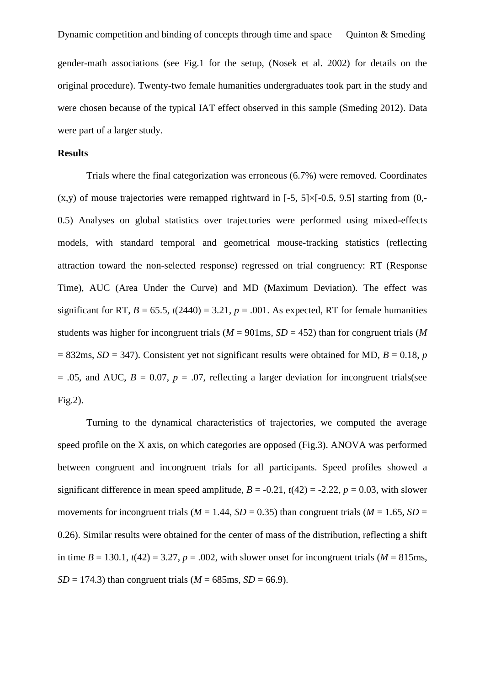Dynamic competition and binding of concepts through time and space Quinton  $&$  Smeding gender-math associations (see Fig.1 for the setup, (Nosek et al. 2002) for details on the original procedure). Twenty-two female humanities undergraduates took part in the study and were chosen because of the typical IAT effect observed in this sample (Smeding 2012). Data were part of a larger study.

#### **Results**

Trials where the final categorization was erroneous (6.7%) were removed. Coordinates  $(x,y)$  of mouse trajectories were remapped rightward in [-5, 5] $\times$ [-0.5, 9.5] starting from (0,-0.5) Analyses on global statistics over trajectories were performed using mixed-effects models, with standard temporal and geometrical mouse-tracking statistics (reflecting attraction toward the non-selected response) regressed on trial congruency: RT (Response Time), AUC (Area Under the Curve) and MD (Maximum Deviation). The effect was significant for RT,  $B = 65.5$ ,  $t(2440) = 3.21$ ,  $p = .001$ . As expected, RT for female humanities students was higher for incongruent trials ( $M = 901$  ms,  $SD = 452$ ) than for congruent trials ( $M$  $= 832$ ms, *SD* = 347). Consistent yet not significant results were obtained for MD, *B* = 0.18, *p*  $= .05$ , and AUC,  $B = 0.07$ ,  $p = .07$ , reflecting a larger deviation for incongruent trials(see Fig.2).

Turning to the dynamical characteristics of trajectories, we computed the average speed profile on the X axis, on which categories are opposed (Fig.3). ANOVA was performed between congruent and incongruent trials for all participants. Speed profiles showed a significant difference in mean speed amplitude,  $B = -0.21$ ,  $t(42) = -2.22$ ,  $p = 0.03$ , with slower movements for incongruent trials ( $M = 1.44$ ,  $SD = 0.35$ ) than congruent trials ( $M = 1.65$ ,  $SD = 1.65$ 0.26). Similar results were obtained for the center of mass of the distribution, reflecting a shift in time  $B = 130.1$ ,  $t(42) = 3.27$ ,  $p = .002$ , with slower onset for incongruent trials ( $M = 815$ ms,  $SD = 174.3$ ) than congruent trials ( $M = 685$ ms,  $SD = 66.9$ ).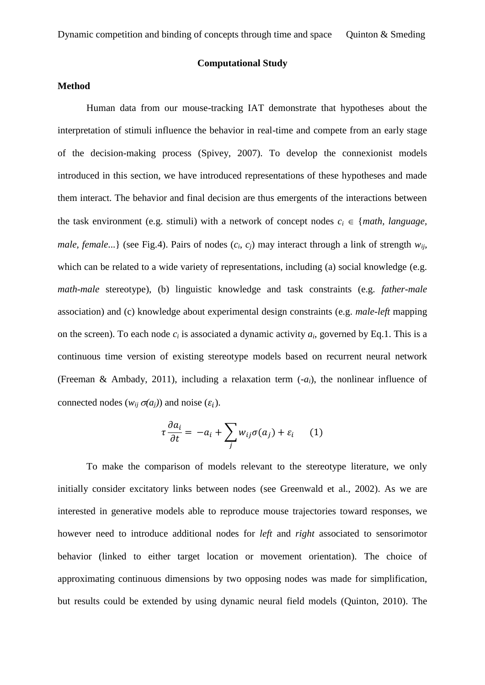## **Computational Study**

# **Method**

Human data from our mouse-tracking IAT demonstrate that hypotheses about the interpretation of stimuli influence the behavior in real-time and compete from an early stage of the decision-making process (Spivey, 2007). To develop the connexionist models introduced in this section, we have introduced representations of these hypotheses and made them interact. The behavior and final decision are thus emergents of the interactions between the task environment (e.g. stimuli) with a network of concept nodes  $c_i \in \{ \text{math, language}, \}$ *male, female...*} (see Fig.4). Pairs of nodes  $(c_i, c_j)$  may interact through a link of strength  $w_{ij}$ , which can be related to a wide variety of representations, including (a) social knowledge (e.g. *math-male* stereotype), (b) linguistic knowledge and task constraints (e.g. *father-male* association) and (c) knowledge about experimental design constraints (e.g. *male-left* mapping on the screen). To each node  $c_i$  is associated a dynamic activity  $a_i$ , governed by Eq.1. This is a continuous time version of existing stereotype models based on recurrent neural network (Freeman & Ambady, 2011), including a relaxation term  $(-a_i)$ , the nonlinear influence of connected nodes  $(w_{ij} \sigma(a_j))$  and noise  $(\varepsilon_i)$ .

$$
\tau \frac{\partial a_i}{\partial t} = -a_i + \sum_j w_{ij} \sigma(a_j) + \varepsilon_i \qquad (1)
$$

To make the comparison of models relevant to the stereotype literature, we only initially consider excitatory links between nodes (see Greenwald et al., 2002). As we are interested in generative models able to reproduce mouse trajectories toward responses, we however need to introduce additional nodes for *left* and *right* associated to sensorimotor behavior (linked to either target location or movement orientation). The choice of approximating continuous dimensions by two opposing nodes was made for simplification, but results could be extended by using dynamic neural field models (Quinton, 2010). The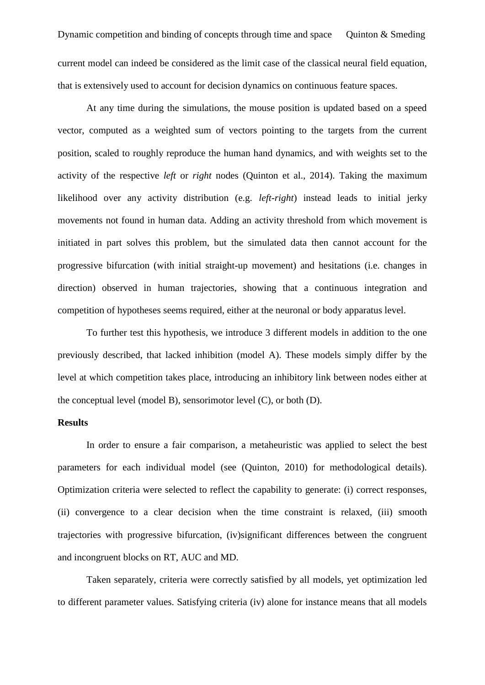Dynamic competition and binding of concepts through time and space Quinton  $&$  Smeding current model can indeed be considered as the limit case of the classical neural field equation, that is extensively used to account for decision dynamics on continuous feature spaces.

At any time during the simulations, the mouse position is updated based on a speed vector, computed as a weighted sum of vectors pointing to the targets from the current position, scaled to roughly reproduce the human hand dynamics, and with weights set to the activity of the respective *left* or *right* nodes (Quinton et al., 2014). Taking the maximum likelihood over any activity distribution (e.g. *left-right*) instead leads to initial jerky movements not found in human data. Adding an activity threshold from which movement is initiated in part solves this problem, but the simulated data then cannot account for the progressive bifurcation (with initial straight-up movement) and hesitations (i.e. changes in direction) observed in human trajectories, showing that a continuous integration and competition of hypotheses seems required, either at the neuronal or body apparatus level.

To further test this hypothesis, we introduce 3 different models in addition to the one previously described, that lacked inhibition (model A). These models simply differ by the level at which competition takes place, introducing an inhibitory link between nodes either at the conceptual level (model B), sensorimotor level (C), or both (D).

# **Results**

In order to ensure a fair comparison, a metaheuristic was applied to select the best parameters for each individual model (see (Quinton, 2010) for methodological details). Optimization criteria were selected to reflect the capability to generate: (i) correct responses, (ii) convergence to a clear decision when the time constraint is relaxed, (iii) smooth trajectories with progressive bifurcation, (iv)significant differences between the congruent and incongruent blocks on RT, AUC and MD.

Taken separately, criteria were correctly satisfied by all models, yet optimization led to different parameter values. Satisfying criteria (iv) alone for instance means that all models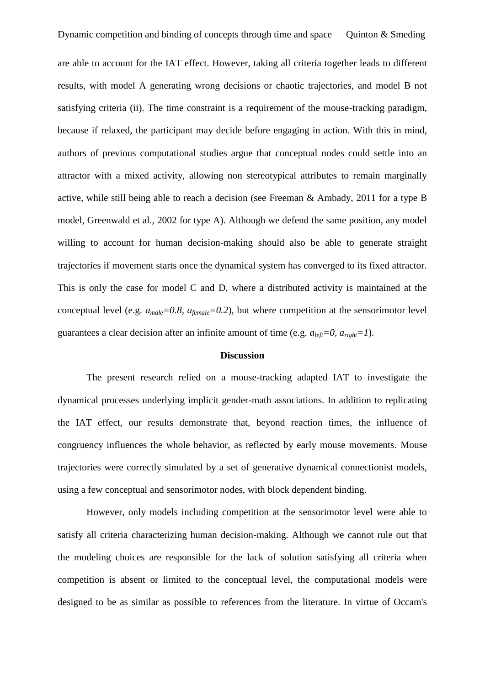are able to account for the IAT effect. However, taking all criteria together leads to different results, with model A generating wrong decisions or chaotic trajectories, and model B not satisfying criteria (ii). The time constraint is a requirement of the mouse-tracking paradigm, because if relaxed, the participant may decide before engaging in action. With this in mind, authors of previous computational studies argue that conceptual nodes could settle into an attractor with a mixed activity, allowing non stereotypical attributes to remain marginally active, while still being able to reach a decision (see Freeman & Ambady, 2011 for a type B model, Greenwald et al., 2002 for type A). Although we defend the same position, any model willing to account for human decision-making should also be able to generate straight trajectories if movement starts once the dynamical system has converged to its fixed attractor. This is only the case for model C and D, where a distributed activity is maintained at the conceptual level (e.g.  $a_{male} = 0.8$ ,  $a_{female} = 0.2$ ), but where competition at the sensorimotor level guarantees a clear decision after an infinite amount of time (e.g.  $a_{left} = 0$ ,  $a_{right} = 1$ ).

#### **Discussion**

The present research relied on a mouse-tracking adapted IAT to investigate the dynamical processes underlying implicit gender-math associations. In addition to replicating the IAT effect, our results demonstrate that, beyond reaction times, the influence of congruency influences the whole behavior, as reflected by early mouse movements. Mouse trajectories were correctly simulated by a set of generative dynamical connectionist models, using a few conceptual and sensorimotor nodes, with block dependent binding.

However, only models including competition at the sensorimotor level were able to satisfy all criteria characterizing human decision-making. Although we cannot rule out that the modeling choices are responsible for the lack of solution satisfying all criteria when competition is absent or limited to the conceptual level, the computational models were designed to be as similar as possible to references from the literature. In virtue of Occam's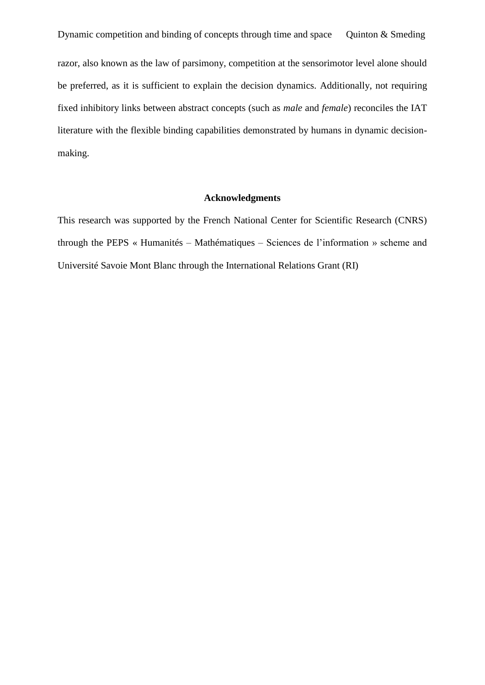Dynamic competition and binding of concepts through time and space Quinton  $&$  Smeding razor, also known as the law of parsimony, competition at the sensorimotor level alone should be preferred, as it is sufficient to explain the decision dynamics. Additionally, not requiring fixed inhibitory links between abstract concepts (such as *male* and *female*) reconciles the IAT literature with the flexible binding capabilities demonstrated by humans in dynamic decisionmaking.

### **Acknowledgments**

This research was supported by the French National Center for Scientific Research (CNRS) through the PEPS « Humanités – Mathématiques – Sciences de l'information » scheme and Université Savoie Mont Blanc through the International Relations Grant (RI)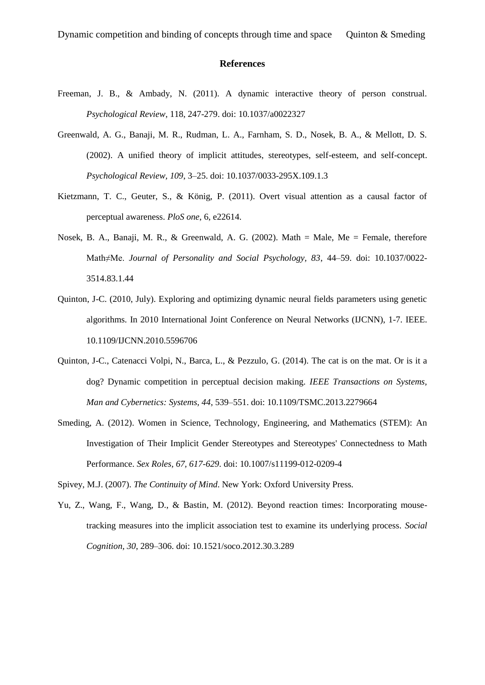#### **References**

- Freeman, J. B., & Ambady, N. (2011). A dynamic interactive theory of person construal. *Psychological Review*, 118, 247-279. doi: 10.1037/a0022327
- Greenwald, A. G., Banaji, M. R., Rudman, L. A., Farnham, S. D., Nosek, B. A., & Mellott, D. S. (2002). A unified theory of implicit attitudes, stereotypes, self-esteem, and self-concept. *Psychological Review, 109*, 3–25. doi: 10.1037/0033-295X.109.1.3
- Kietzmann, T. C., Geuter, S., & König, P. (2011). Overt visual attention as a causal factor of perceptual awareness. *PloS one*, 6, e22614.
- Nosek, B. A., Banaji, M. R., & Greenwald, A. G. (2002). Math = Male, Me = Female, therefore Math≠Me. *Journal of Personality and Social Psychology, 83*, 44–59. doi: 10.1037/0022- 3514.83.1.44
- Quinton, J-C. (2010, July). Exploring and optimizing dynamic neural fields parameters using genetic algorithms. In 2010 International Joint Conference on Neural Networks (IJCNN), 1-7. IEEE. 10.1109/IJCNN.2010.5596706
- Quinton, J-C., Catenacci Volpi, N., Barca, L., & Pezzulo, G. (2014). The cat is on the mat. Or is it a dog? Dynamic competition in perceptual decision making. *IEEE Transactions on Systems, Man and Cybernetics: Systems, 44*, 539–551. doi: 10.1109/TSMC.2013.2279664
- Smeding, A. (2012). Women in Science, Technology, Engineering, and Mathematics (STEM): An Investigation of Their Implicit Gender Stereotypes and Stereotypes' Connectedness to Math Performance. *Sex Roles, 67, 617-629*. doi: 10.1007/s11199-012-0209-4

Spivey, M.J. (2007). *The Continuity of Mind*. New York: Oxford University Press.

[Yu, Z.](javascript:__doLinkPostBack(), Wang, F., Wang, D., & Bastin, M. (2012). Beyond reaction times: Incorporating mousetracking measures into the implicit association test to examine its underlying process. *Social Cognition, 30*, 289–306. doi: [10.1521/soco.2012.30.3.289](https://dx-doi-org.nomade.univ-tlse2.fr/10.1521/soco.2012.30.3.289)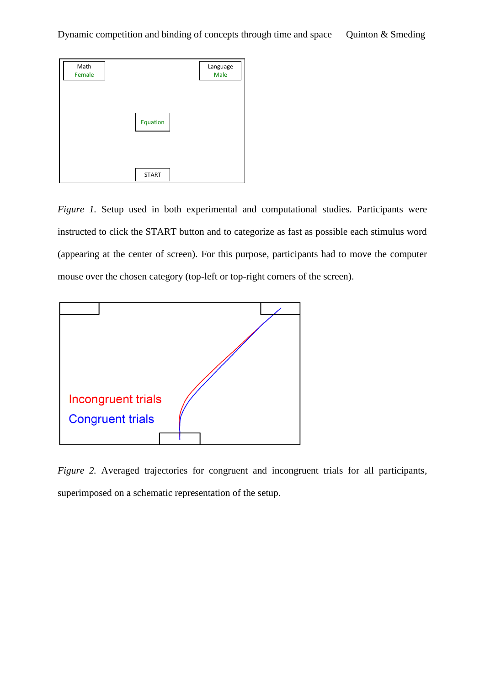

*Figure 1.* Setup used in both experimental and computational studies. Participants were instructed to click the START button and to categorize as fast as possible each stimulus word (appearing at the center of screen). For this purpose, participants had to move the computer mouse over the chosen category (top-left or top-right corners of the screen).



*Figure 2.* Averaged trajectories for congruent and incongruent trials for all participants, superimposed on a schematic representation of the setup.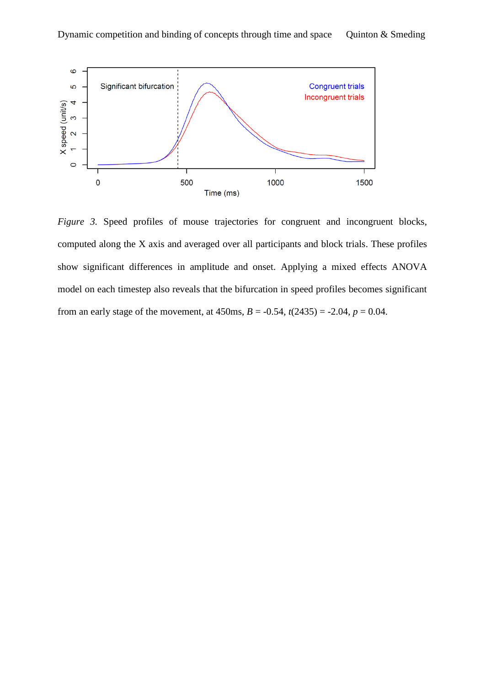

*Figure 3.* Speed profiles of mouse trajectories for congruent and incongruent blocks, computed along the X axis and averaged over all participants and block trials. These profiles show significant differences in amplitude and onset. Applying a mixed effects ANOVA model on each timestep also reveals that the bifurcation in speed profiles becomes significant from an early stage of the movement, at  $450$ ms,  $B = -0.54$ ,  $t(2435) = -2.04$ ,  $p = 0.04$ .